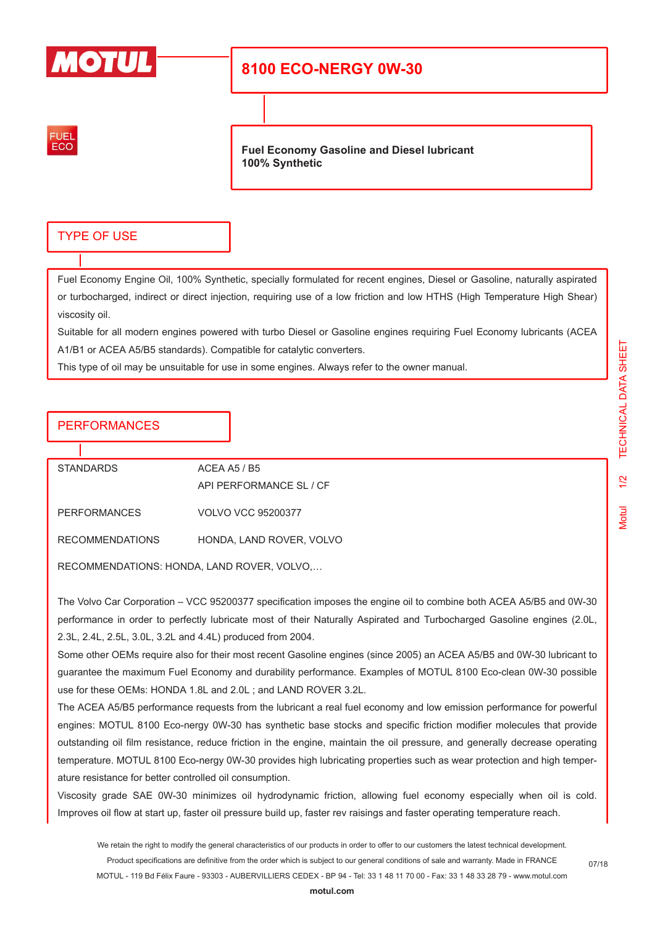

# **8100 ECO-NERGY 0W-30**



**Fuel Economy Gasoline and Diesel lubricant 100% Synthetic**

## TYPE OF USE

Fuel Economy Engine Oil, 100% Synthetic, specially formulated for recent engines, Diesel or Gasoline, naturally aspirated or turbocharged, indirect or direct injection, requiring use of a low friction and low HTHS (High Temperature High Shear) viscosity oil.

Suitable for all modern engines powered with turbo Diesel or Gasoline engines requiring Fuel Economy lubricants (ACEA A1/B1 or ACEA A5/B5 standards). Compatible for catalytic converters.

This type of oil may be unsuitable for use in some engines. Always refer to the owner manual.

## PERFORMANCES

| <b>STANDARDS</b>       | ACEA A5 / B5              |  |
|------------------------|---------------------------|--|
|                        | API PERFORMANCE SL / CF   |  |
| <b>PERFORMANCES</b>    | <b>VOLVO VCC 95200377</b> |  |
| <b>RECOMMENDATIONS</b> | HONDA, LAND ROVER, VOLVO  |  |

RECOMMENDATIONS: HONDA, LAND ROVER, VOLVO,…

The Volvo Car Corporation – VCC 95200377 specification imposes the engine oil to combine both ACEA A5/B5 and 0W-30 performance in order to perfectly lubricate most of their Naturally Aspirated and Turbocharged Gasoline engines (2.0L, 2.3L, 2.4L, 2.5L, 3.0L, 3.2L and 4.4L) produced from 2004.

Some other OEMs require also for their most recent Gasoline engines (since 2005) an ACEA A5/B5 and 0W-30 lubricant to guarantee the maximum Fuel Economy and durability performance. Examples of MOTUL 8100 Eco-clean 0W-30 possible use for these OEMs: HONDA 1.8L and 2.0L ; and LAND ROVER 3.2L.

The ACEA A5/B5 performance requests from the lubricant a real fuel economy and low emission performance for powerful engines: MOTUL 8100 Eco-nergy 0W-30 has synthetic base stocks and specific friction modifier molecules that provide outstanding oil film resistance, reduce friction in the engine, maintain the oil pressure, and generally decrease operating temperature. MOTUL 8100 Eco-nergy 0W-30 provides high lubricating properties such as wear protection and high temperature resistance for better controlled oil consumption.

Viscosity grade SAE 0W-30 minimizes oil hydrodynamic friction, allowing fuel economy especially when oil is cold. Improves oil flow at start up, faster oil pressure build up, faster rev raisings and faster operating temperature reach.

We retain the right to modify the general characteristics of our products in order to offer to our customers the latest technical development. Product specifications are definitive from the order which is subject to our general conditions of sale and warranty. Made in FRANCE MOTUL - 119 Bd Félix Faure - 93303 - AUBERVILLIERS CEDEX - BP 94 - Tel: 33 1 48 11 70 00 - Fax: 33 1 48 33 28 79 - www.motul.com